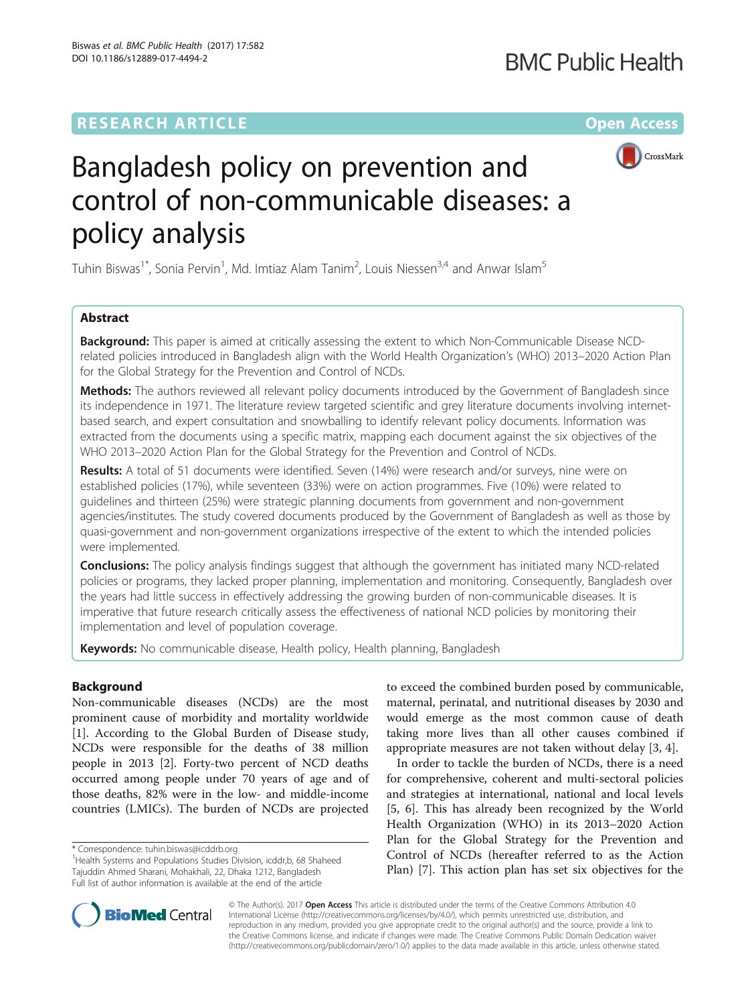# **RESEARCH ARTICLE Example 2014 12:30 The Contract of Contract ACCESS**



# Bangladesh policy on prevention and control of non-communicable diseases: a policy analysis

Tuhin Biswas<sup>1\*</sup>, Sonia Pervin<sup>1</sup>, Md. Imtiaz Alam Tanim<sup>2</sup>, Louis Niessen<sup>3,4</sup> and Anwar Islam<sup>5</sup>

# Abstract

**Background:** This paper is aimed at critically assessing the extent to which Non-Communicable Disease NCDrelated policies introduced in Bangladesh align with the World Health Organization's (WHO) 2013–2020 Action Plan for the Global Strategy for the Prevention and Control of NCDs.

**Methods:** The authors reviewed all relevant policy documents introduced by the Government of Bangladesh since its independence in 1971. The literature review targeted scientific and grey literature documents involving internetbased search, and expert consultation and snowballing to identify relevant policy documents. Information was extracted from the documents using a specific matrix, mapping each document against the six objectives of the WHO 2013–2020 Action Plan for the Global Strategy for the Prevention and Control of NCDs.

Results: A total of 51 documents were identified. Seven (14%) were research and/or surveys, nine were on established policies (17%), while seventeen (33%) were on action programmes. Five (10%) were related to guidelines and thirteen (25%) were strategic planning documents from government and non-government agencies/institutes. The study covered documents produced by the Government of Bangladesh as well as those by quasi-government and non-government organizations irrespective of the extent to which the intended policies were implemented.

**Conclusions:** The policy analysis findings suggest that although the government has initiated many NCD-related policies or programs, they lacked proper planning, implementation and monitoring. Consequently, Bangladesh over the years had little success in effectively addressing the growing burden of non-communicable diseases. It is imperative that future research critically assess the effectiveness of national NCD policies by monitoring their implementation and level of population coverage.

Keywords: No communicable disease, Health policy, Health planning, Bangladesh

## Background

Non-communicable diseases (NCDs) are the most prominent cause of morbidity and mortality worldwide [[1\]](#page-8-0). According to the Global Burden of Disease study, NCDs were responsible for the deaths of 38 million people in 2013 [\[2](#page-8-0)]. Forty-two percent of NCD deaths occurred among people under 70 years of age and of those deaths, 82% were in the low- and middle-income countries (LMICs). The burden of NCDs are projected

\* Correspondence: [tuhin.biswas@icddrb.org](mailto:tuhin.biswas@icddrb.org) <sup>1</sup>

to exceed the combined burden posed by communicable, maternal, perinatal, and nutritional diseases by 2030 and would emerge as the most common cause of death taking more lives than all other causes combined if appropriate measures are not taken without delay [\[3](#page-8-0), [4](#page-8-0)].

In order to tackle the burden of NCDs, there is a need for comprehensive, coherent and multi-sectoral policies and strategies at international, national and local levels [[5, 6](#page-8-0)]. This has already been recognized by the World Health Organization (WHO) in its 2013–2020 Action Plan for the Global Strategy for the Prevention and Control of NCDs (hereafter referred to as the Action Plan) [[7\]](#page-8-0). This action plan has set six objectives for the



© The Author(s). 2017 **Open Access** This article is distributed under the terms of the Creative Commons Attribution 4.0 International License [\(http://creativecommons.org/licenses/by/4.0/](http://creativecommons.org/licenses/by/4.0/)), which permits unrestricted use, distribution, and reproduction in any medium, provided you give appropriate credit to the original author(s) and the source, provide a link to the Creative Commons license, and indicate if changes were made. The Creative Commons Public Domain Dedication waiver [\(http://creativecommons.org/publicdomain/zero/1.0/](http://creativecommons.org/publicdomain/zero/1.0/)) applies to the data made available in this article, unless otherwise stated.

<sup>&</sup>lt;sup>1</sup>Health Systems and Populations Studies Division, icddr,b, 68 Shaheed Tajuddin Ahmed Sharani, Mohakhali, 22, Dhaka 1212, Bangladesh Full list of author information is available at the end of the article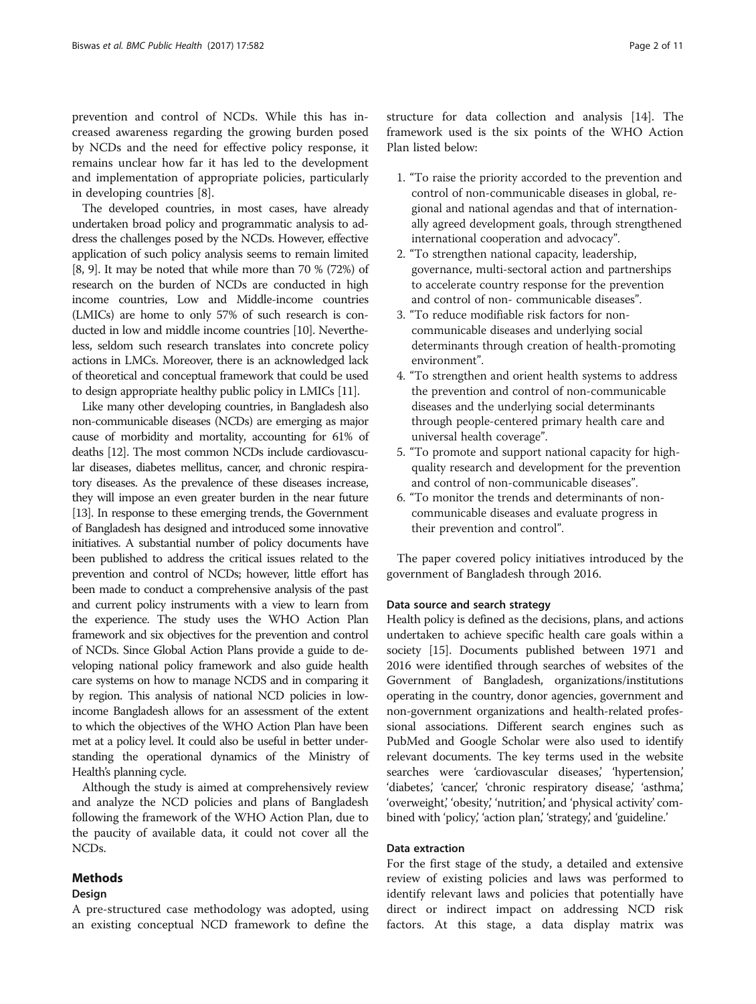prevention and control of NCDs. While this has increased awareness regarding the growing burden posed by NCDs and the need for effective policy response, it remains unclear how far it has led to the development and implementation of appropriate policies, particularly in developing countries [[8\]](#page-8-0).

The developed countries, in most cases, have already undertaken broad policy and programmatic analysis to address the challenges posed by the NCDs. However, effective application of such policy analysis seems to remain limited [[8](#page-8-0), [9](#page-8-0)]. It may be noted that while more than 70 % (72%) of research on the burden of NCDs are conducted in high income countries, Low and Middle-income countries (LMICs) are home to only 57% of such research is conducted in low and middle income countries [\[10](#page-8-0)]. Nevertheless, seldom such research translates into concrete policy actions in LMCs. Moreover, there is an acknowledged lack of theoretical and conceptual framework that could be used to design appropriate healthy public policy in LMICs [\[11](#page-8-0)].

Like many other developing countries, in Bangladesh also non-communicable diseases (NCDs) are emerging as major cause of morbidity and mortality, accounting for 61% of deaths [\[12\]](#page-8-0). The most common NCDs include cardiovascular diseases, diabetes mellitus, cancer, and chronic respiratory diseases. As the prevalence of these diseases increase, they will impose an even greater burden in the near future [[13\]](#page-8-0). In response to these emerging trends, the Government of Bangladesh has designed and introduced some innovative initiatives. A substantial number of policy documents have been published to address the critical issues related to the prevention and control of NCDs; however, little effort has been made to conduct a comprehensive analysis of the past and current policy instruments with a view to learn from the experience. The study uses the WHO Action Plan framework and six objectives for the prevention and control of NCDs. Since Global Action Plans provide a guide to developing national policy framework and also guide health care systems on how to manage NCDS and in comparing it by region. This analysis of national NCD policies in lowincome Bangladesh allows for an assessment of the extent to which the objectives of the WHO Action Plan have been met at a policy level. It could also be useful in better understanding the operational dynamics of the Ministry of Health's planning cycle.

Although the study is aimed at comprehensively review and analyze the NCD policies and plans of Bangladesh following the framework of the WHO Action Plan, due to the paucity of available data, it could not cover all the NCDs.

## Methods

## Design

A pre-structured case methodology was adopted, using an existing conceptual NCD framework to define the structure for data collection and analysis [\[14](#page-8-0)]. The framework used is the six points of the WHO Action Plan listed below:

- 1. "To raise the priority accorded to the prevention and control of non-communicable diseases in global, regional and national agendas and that of internationally agreed development goals, through strengthened international cooperation and advocacy".
- 2. "To strengthen national capacity, leadership, governance, multi-sectoral action and partnerships to accelerate country response for the prevention and control of non- communicable diseases".
- 3. "To reduce modifiable risk factors for noncommunicable diseases and underlying social determinants through creation of health-promoting environment".
- 4. "To strengthen and orient health systems to address the prevention and control of non-communicable diseases and the underlying social determinants through people-centered primary health care and universal health coverage".
- 5. "To promote and support national capacity for highquality research and development for the prevention and control of non-communicable diseases".
- 6. "To monitor the trends and determinants of noncommunicable diseases and evaluate progress in their prevention and control".

The paper covered policy initiatives introduced by the government of Bangladesh through 2016.

## Data source and search strategy

Health policy is defined as the decisions, plans, and actions undertaken to achieve specific health care goals within a society [\[15\]](#page-8-0). Documents published between 1971 and 2016 were identified through searches of websites of the Government of Bangladesh, organizations/institutions operating in the country, donor agencies, government and non-government organizations and health-related professional associations. Different search engines such as PubMed and Google Scholar were also used to identify relevant documents. The key terms used in the website searches were 'cardiovascular diseases', 'hypertension', 'diabetes', 'cancer', 'chronic respiratory disease', 'asthma', 'overweight,' 'obesity,' 'nutrition,' and 'physical activity' combined with 'policy,' 'action plan,' 'strategy,' and 'guideline.'

#### Data extraction

For the first stage of the study, a detailed and extensive review of existing policies and laws was performed to identify relevant laws and policies that potentially have direct or indirect impact on addressing NCD risk factors. At this stage, a data display matrix was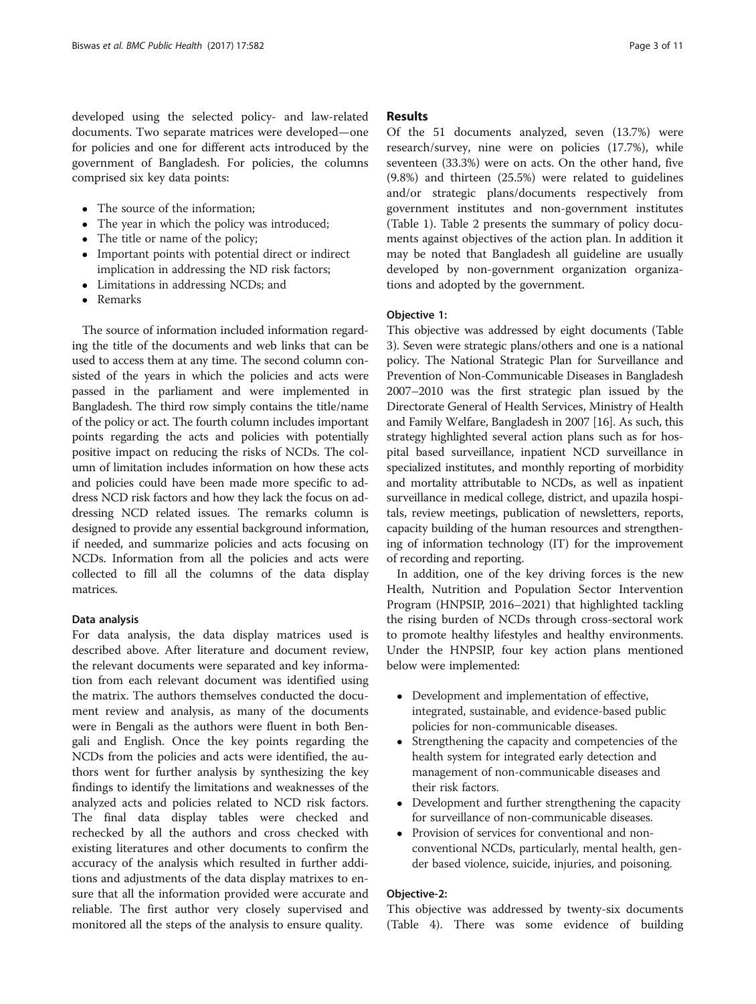developed using the selected policy- and law-related documents. Two separate matrices were developed—one for policies and one for different acts introduced by the government of Bangladesh. For policies, the columns comprised six key data points:

- The source of the information;
- The year in which the policy was introduced;
- The title or name of the policy;
- Important points with potential direct or indirect implication in addressing the ND risk factors;
- Limitations in addressing NCDs; and
- Remarks

The source of information included information regarding the title of the documents and web links that can be used to access them at any time. The second column consisted of the years in which the policies and acts were passed in the parliament and were implemented in Bangladesh. The third row simply contains the title/name of the policy or act. The fourth column includes important points regarding the acts and policies with potentially positive impact on reducing the risks of NCDs. The column of limitation includes information on how these acts and policies could have been made more specific to address NCD risk factors and how they lack the focus on addressing NCD related issues. The remarks column is designed to provide any essential background information, if needed, and summarize policies and acts focusing on NCDs. Information from all the policies and acts were collected to fill all the columns of the data display matrices.

## Data analysis

For data analysis, the data display matrices used is described above. After literature and document review, the relevant documents were separated and key information from each relevant document was identified using the matrix. The authors themselves conducted the document review and analysis, as many of the documents were in Bengali as the authors were fluent in both Bengali and English. Once the key points regarding the NCDs from the policies and acts were identified, the authors went for further analysis by synthesizing the key findings to identify the limitations and weaknesses of the analyzed acts and policies related to NCD risk factors. The final data display tables were checked and rechecked by all the authors and cross checked with existing literatures and other documents to confirm the accuracy of the analysis which resulted in further additions and adjustments of the data display matrixes to ensure that all the information provided were accurate and reliable. The first author very closely supervised and monitored all the steps of the analysis to ensure quality.

## Results

Of the 51 documents analyzed, seven (13.7%) were research/survey, nine were on policies (17.7%), while seventeen (33.3%) were on acts. On the other hand, five (9.8%) and thirteen (25.5%) were related to guidelines and/or strategic plans/documents respectively from government institutes and non-government institutes (Table [1](#page-3-0)). Table [2](#page-4-0) presents the summary of policy documents against objectives of the action plan. In addition it may be noted that Bangladesh all guideline are usually developed by non-government organization organizations and adopted by the government.

## Objective 1:

This objective was addressed by eight documents (Table [3\)](#page-5-0). Seven were strategic plans/others and one is a national policy. The National Strategic Plan for Surveillance and Prevention of Non-Communicable Diseases in Bangladesh 2007–2010 was the first strategic plan issued by the Directorate General of Health Services, Ministry of Health and Family Welfare, Bangladesh in 2007 [\[16\]](#page-8-0). As such, this strategy highlighted several action plans such as for hospital based surveillance, inpatient NCD surveillance in specialized institutes, and monthly reporting of morbidity and mortality attributable to NCDs, as well as inpatient surveillance in medical college, district, and upazila hospitals, review meetings, publication of newsletters, reports, capacity building of the human resources and strengthening of information technology (IT) for the improvement of recording and reporting.

In addition, one of the key driving forces is the new Health, Nutrition and Population Sector Intervention Program (HNPSIP, 2016–2021) that highlighted tackling the rising burden of NCDs through cross-sectoral work to promote healthy lifestyles and healthy environments. Under the HNPSIP, four key action plans mentioned below were implemented:

- Development and implementation of effective, integrated, sustainable, and evidence-based public policies for non-communicable diseases.
- Strengthening the capacity and competencies of the health system for integrated early detection and management of non-communicable diseases and their risk factors.
- Development and further strengthening the capacity for surveillance of non-communicable diseases.
- Provision of services for conventional and nonconventional NCDs, particularly, mental health, gender based violence, suicide, injuries, and poisoning.

## Objective-2:

This objective was addressed by twenty-six documents (Table [4\)](#page-5-0). There was some evidence of building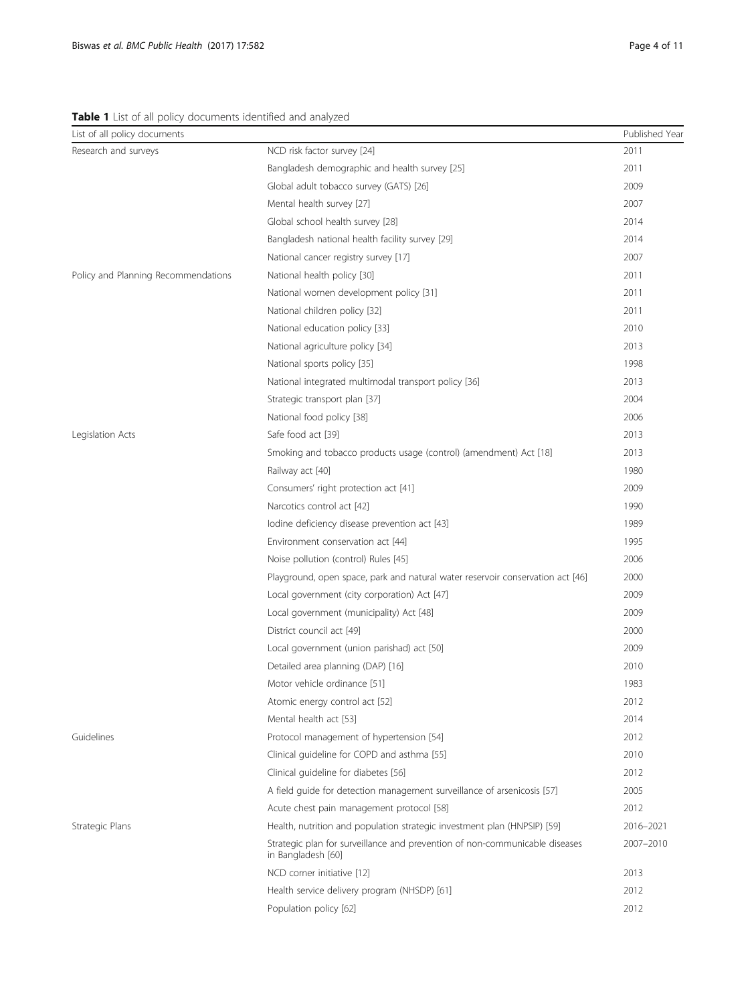## <span id="page-3-0"></span>Table 1 List of all policy documents identified and analyzed

| List of all policy documents        |                                                                                                   | Published Year |
|-------------------------------------|---------------------------------------------------------------------------------------------------|----------------|
| Research and surveys                | NCD risk factor survey [24]                                                                       | 2011           |
|                                     | Bangladesh demographic and health survey [25]                                                     | 2011           |
|                                     | Global adult tobacco survey (GATS) [26]                                                           | 2009           |
|                                     | Mental health survey [27]                                                                         | 2007           |
|                                     | Global school health survey [28]                                                                  | 2014           |
|                                     | Bangladesh national health facility survey [29]                                                   | 2014           |
|                                     | National cancer registry survey [17]                                                              | 2007           |
| Policy and Planning Recommendations | National health policy [30]                                                                       | 2011           |
|                                     | National women development policy [31]                                                            | 2011           |
|                                     | National children policy [32]                                                                     | 2011           |
|                                     | National education policy [33]                                                                    | 2010           |
|                                     | National agriculture policy [34]                                                                  | 2013           |
|                                     | National sports policy [35]                                                                       | 1998           |
|                                     | National integrated multimodal transport policy [36]                                              | 2013           |
|                                     | Strategic transport plan [37]                                                                     | 2004           |
|                                     | National food policy [38]                                                                         | 2006           |
| Legislation Acts                    | Safe food act [39]                                                                                | 2013           |
|                                     | Smoking and tobacco products usage (control) (amendment) Act [18]                                 | 2013           |
|                                     | Railway act [40]                                                                                  | 1980           |
|                                     | Consumers' right protection act [41]                                                              | 2009           |
|                                     | Narcotics control act [42]                                                                        | 1990           |
|                                     | Iodine deficiency disease prevention act [43]                                                     | 1989           |
|                                     | Environment conservation act [44]                                                                 | 1995           |
|                                     | Noise pollution (control) Rules [45]                                                              | 2006           |
|                                     | Playground, open space, park and natural water reservoir conservation act [46]                    | 2000           |
|                                     | Local government (city corporation) Act [47]                                                      | 2009           |
|                                     | Local government (municipality) Act [48]                                                          | 2009           |
|                                     | District council act [49]                                                                         | 2000           |
|                                     | Local government (union parishad) act [50]                                                        | 2009           |
|                                     | Detailed area planning (DAP) [16]                                                                 | 2010           |
|                                     | Motor vehicle ordinance [51]                                                                      | 1983           |
|                                     | Atomic energy control act [52]                                                                    | 2012           |
|                                     | Mental health act [53]                                                                            | 2014           |
| Guidelines                          | Protocol management of hypertension [54]                                                          | 2012           |
|                                     | Clinical guideline for COPD and asthma [55]                                                       | 2010           |
|                                     | Clinical guideline for diabetes [56]                                                              | 2012           |
|                                     | A field quide for detection management surveillance of arsenicosis [57]                           | 2005           |
|                                     | Acute chest pain management protocol [58]                                                         | 2012           |
| Strategic Plans                     | Health, nutrition and population strategic investment plan (HNPSIP) [59]                          | 2016-2021      |
|                                     | Strategic plan for surveillance and prevention of non-communicable diseases<br>in Bangladesh [60] | 2007-2010      |
|                                     | NCD corner initiative [12]                                                                        | 2013           |
|                                     | Health service delivery program (NHSDP) [61]                                                      | 2012           |
|                                     | Population policy [62]                                                                            | 2012           |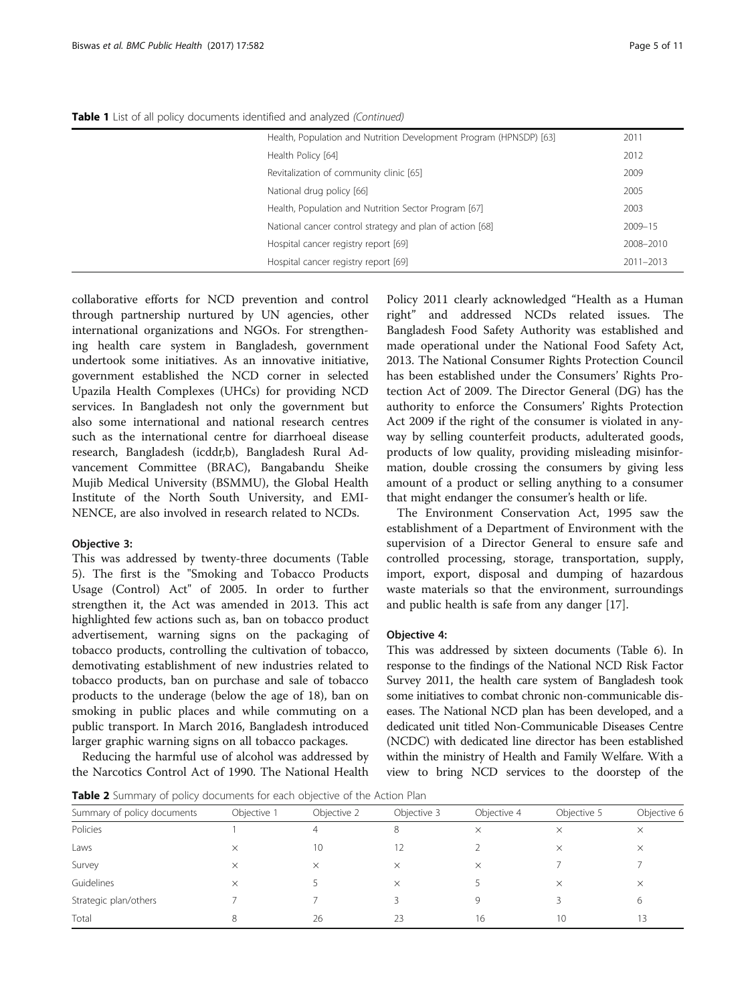| Health, Population and Nutrition Development Program (HPNSDP) [63] | 2011      |
|--------------------------------------------------------------------|-----------|
| Health Policy [64]                                                 | 2012      |
| Revitalization of community clinic [65]                            | 2009      |
| National drug policy [66]                                          | 2005      |
| Health, Population and Nutrition Sector Program [67]               | 2003      |
| National cancer control strategy and plan of action [68]           | 2009-15   |
| Hospital cancer registry report [69]                               | 2008-2010 |
| Hospital cancer registry report [69]                               | 2011-2013 |

<span id="page-4-0"></span>Table 1 List of all policy documents identified and analyzed (Continued)

collaborative efforts for NCD prevention and control through partnership nurtured by UN agencies, other international organizations and NGOs. For strengthening health care system in Bangladesh, government undertook some initiatives. As an innovative initiative, government established the NCD corner in selected Upazila Health Complexes (UHCs) for providing NCD services. In Bangladesh not only the government but also some international and national research centres such as the international centre for diarrhoeal disease research, Bangladesh (icddr,b), Bangladesh Rural Advancement Committee (BRAC), Bangabandu Sheike Mujib Medical University (BSMMU), the Global Health Institute of the North South University, and EMI-NENCE, are also involved in research related to NCDs.

#### Objective 3:

This was addressed by twenty-three documents (Table [5\)](#page-5-0). The first is the "Smoking and Tobacco Products Usage (Control) Act" of 2005. In order to further strengthen it, the Act was amended in 2013. This act highlighted few actions such as, ban on tobacco product advertisement, warning signs on the packaging of tobacco products, controlling the cultivation of tobacco, demotivating establishment of new industries related to tobacco products, ban on purchase and sale of tobacco products to the underage (below the age of 18), ban on smoking in public places and while commuting on a public transport. In March 2016, Bangladesh introduced larger graphic warning signs on all tobacco packages.

Reducing the harmful use of alcohol was addressed by the Narcotics Control Act of 1990. The National Health

Policy 2011 clearly acknowledged "Health as a Human right" and addressed NCDs related issues. The Bangladesh Food Safety Authority was established and made operational under the National Food Safety Act, 2013. The National Consumer Rights Protection Council has been established under the Consumers' Rights Protection Act of 2009. The Director General (DG) has the authority to enforce the Consumers' Rights Protection Act 2009 if the right of the consumer is violated in anyway by selling counterfeit products, adulterated goods, products of low quality, providing misleading misinformation, double crossing the consumers by giving less amount of a product or selling anything to a consumer that might endanger the consumer's health or life.

The Environment Conservation Act, 1995 saw the establishment of a Department of Environment with the supervision of a Director General to ensure safe and controlled processing, storage, transportation, supply, import, export, disposal and dumping of hazardous waste materials so that the environment, surroundings and public health is safe from any danger [\[17](#page-8-0)].

#### Objective 4:

This was addressed by sixteen documents (Table [6](#page-6-0)). In response to the findings of the National NCD Risk Factor Survey 2011, the health care system of Bangladesh took some initiatives to combat chronic non-communicable diseases. The National NCD plan has been developed, and a dedicated unit titled Non-Communicable Diseases Centre (NCDC) with dedicated line director has been established within the ministry of Health and Family Welfare. With a view to bring NCD services to the doorstep of the

Table 2 Summary of policy documents for each objective of the Action Plan

| Summary of policy documents | Objective 1 | Objective 2 | Objective 3 | Objective 4 | Objective 5 | Objective 6 |
|-----------------------------|-------------|-------------|-------------|-------------|-------------|-------------|
| Policies                    |             | 4           | 8           | X           | X           | X           |
| Laws                        | ×           | 10          | 12          |             | $\times$    | $\times$    |
| Survey                      | ×           | $\times$    | ×           | $\times$    |             |             |
| Guidelines                  | ×           |             | ×           |             | ×           | $\times$    |
| Strategic plan/others       |             |             |             |             |             |             |
| Total                       |             | 26          | 23          | 16          | 10          | 13          |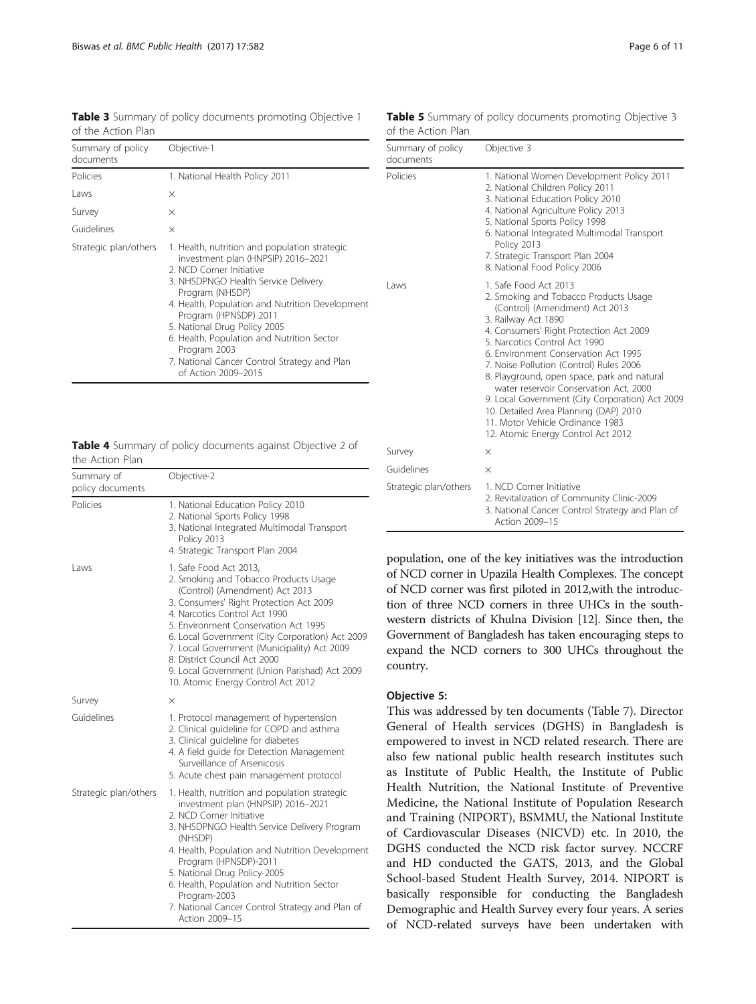<span id="page-5-0"></span>

|  |                    |  | <b>Table 3</b> Summary of policy documents promoting Objective 1 |  |  |
|--|--------------------|--|------------------------------------------------------------------|--|--|
|  | of the Action Plan |  |                                                                  |  |  |

| Summary of policy<br>documents | Objective-1                                                                                                                                                                                                                                                                                                                                                                                                                |
|--------------------------------|----------------------------------------------------------------------------------------------------------------------------------------------------------------------------------------------------------------------------------------------------------------------------------------------------------------------------------------------------------------------------------------------------------------------------|
| Policies                       | 1. National Health Policy 2011                                                                                                                                                                                                                                                                                                                                                                                             |
| Laws                           | $\times$                                                                                                                                                                                                                                                                                                                                                                                                                   |
| Survey                         | $\times$                                                                                                                                                                                                                                                                                                                                                                                                                   |
| Guidelines                     | X                                                                                                                                                                                                                                                                                                                                                                                                                          |
| Strategic plan/others          | 1. Health, nutrition and population strategic<br>investment plan (HNPSIP) 2016-2021<br>2. NCD Corner Initiative<br>3. NHSDPNGO Health Service Delivery<br>Program (NHSDP)<br>4. Health, Population and Nutrition Development<br>Program (HPNSDP) 2011<br>5. National Drug Policy 2005<br>6. Health, Population and Nutrition Sector<br>Program 2003<br>7. National Cancer Control Strategy and Plan<br>of Action 2009-2015 |

Table 4 Summary of policy documents against Objective 2 of the Action Plan

| Summary of<br>policy documents | Objective-2                                                                                                                                                                                                                                                                                                                                                                                                                                    |
|--------------------------------|------------------------------------------------------------------------------------------------------------------------------------------------------------------------------------------------------------------------------------------------------------------------------------------------------------------------------------------------------------------------------------------------------------------------------------------------|
| Policies                       | 1. National Education Policy 2010<br>2. National Sports Policy 1998<br>3. National Integrated Multimodal Transport<br>Policy 2013<br>4. Strategic Transport Plan 2004                                                                                                                                                                                                                                                                          |
| Laws                           | 1. Safe Food Act 2013,<br>2. Smoking and Tobacco Products Usage<br>(Control) (Amendment) Act 2013<br>3. Consumers' Right Protection Act 2009<br>4. Narcotics Control Act 1990<br>5. Environment Conservation Act 1995<br>6. Local Government (City Corporation) Act 2009<br>7. Local Government (Municipality) Act 2009<br>8. District Council Act 2000<br>9. Local Government (Union Parishad) Act 2009<br>10. Atomic Energy Control Act 2012 |
| Survey                         | $\times$                                                                                                                                                                                                                                                                                                                                                                                                                                       |
| Guidelines                     | 1. Protocol management of hypertension<br>2. Clinical guideline for COPD and asthma<br>3. Clinical quideline for diabetes<br>4. A field quide for Detection Management<br>Surveillance of Arsenicosis<br>5. Acute chest pain management protocol                                                                                                                                                                                               |
| Strategic plan/others          | 1. Health, nutrition and population strategic<br>investment plan (HNPSIP) 2016-2021<br>2. NCD Corner Initiative<br>3. NHSDPNGO Health Service Delivery Program<br>(NHSDP)<br>4. Health, Population and Nutrition Development<br>Program (HPNSDP)-2011<br>5. National Drug Policy-2005<br>6. Health, Population and Nutrition Sector<br>Program-2003<br>7. National Cancer Control Strategy and Plan of<br>Action 2009-15                       |

| Summary of policy<br>documents | Objective 3                                                                                                                                                                                                                                                                                                                                                                                                                                                                                                                                           |
|--------------------------------|-------------------------------------------------------------------------------------------------------------------------------------------------------------------------------------------------------------------------------------------------------------------------------------------------------------------------------------------------------------------------------------------------------------------------------------------------------------------------------------------------------------------------------------------------------|
| Policies                       | 1. National Women Development Policy 2011<br>2. National Children Policy 2011<br>3. National Education Policy 2010<br>4. National Agriculture Policy 2013<br>5. National Sports Policy 1998<br>6. National Integrated Multimodal Transport<br>Policy 2013<br>7. Strategic Transport Plan 2004<br>8. National Food Policy 2006                                                                                                                                                                                                                         |
| Laws                           | 1. Safe Food Act 2013<br>2. Smoking and Tobacco Products Usage<br>(Control) (Amendment) Act 2013<br>3. Railway Act 1890<br>4. Consumers' Right Protection Act 2009<br>5. Narcotics Control Act 1990<br>6. Environment Conservation Act 1995<br>7. Noise Pollution (Control) Rules 2006<br>8. Playground, open space, park and natural<br>water reservoir Conservation Act, 2000<br>9. Local Government (City Corporation) Act 2009<br>10. Detailed Area Planning (DAP) 2010<br>11. Motor Vehicle Ordinance 1983<br>12. Atomic Energy Control Act 2012 |
| Survey                         | ×                                                                                                                                                                                                                                                                                                                                                                                                                                                                                                                                                     |
| Guidelines                     | X                                                                                                                                                                                                                                                                                                                                                                                                                                                                                                                                                     |
| Strategic plan/others          | 1. NCD Corner Initiative<br>2. Revitalization of Community Clinic-2009<br>3. National Cancer Control Strategy and Plan of<br>Action 2009-15                                                                                                                                                                                                                                                                                                                                                                                                           |

population, one of the key initiatives was the introduction of NCD corner in Upazila Health Complexes. The concept of NCD corner was first piloted in 2012,with the introduction of three NCD corners in three UHCs in the southwestern districts of Khulna Division [[12](#page-8-0)]. Since then, the Government of Bangladesh has taken encouraging steps to expand the NCD corners to 300 UHCs throughout the country.

## Objective 5:

This was addressed by ten documents (Table [7](#page-6-0)). Director General of Health services (DGHS) in Bangladesh is empowered to invest in NCD related research. There are also few national public health research institutes such as Institute of Public Health, the Institute of Public Health Nutrition, the National Institute of Preventive Medicine, the National Institute of Population Research and Training (NIPORT), BSMMU, the National Institute of Cardiovascular Diseases (NICVD) etc. In 2010, the DGHS conducted the NCD risk factor survey. NCCRF and HD conducted the GATS, 2013, and the Global School-based Student Health Survey, 2014. NIPORT is basically responsible for conducting the Bangladesh Demographic and Health Survey every four years. A series of NCD-related surveys have been undertaken with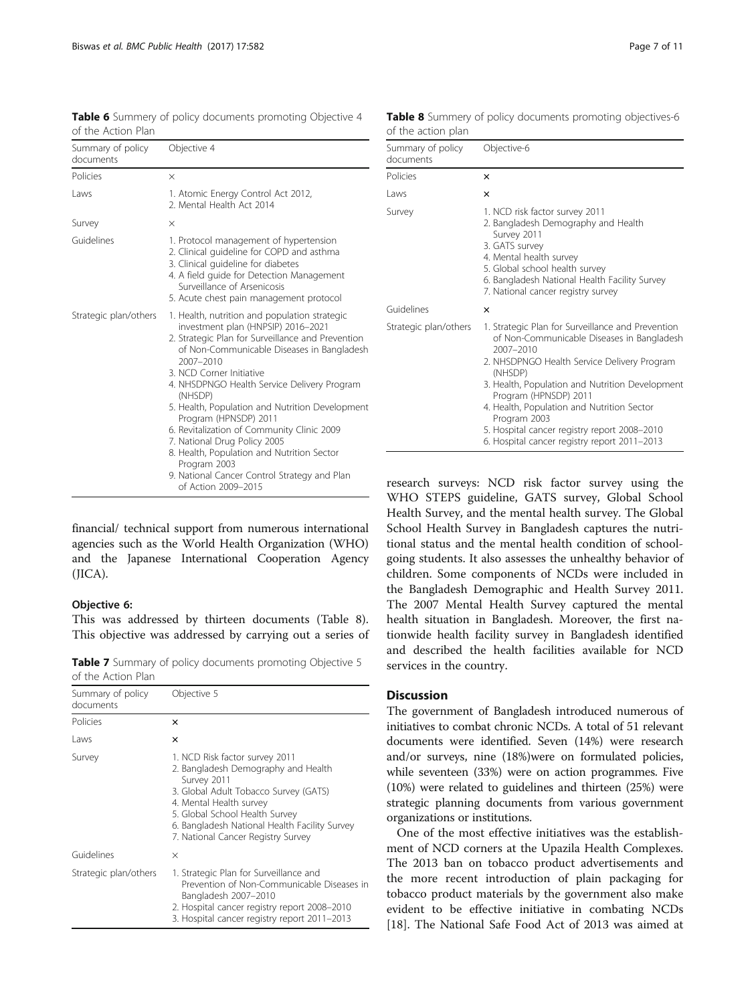| Summary of policy     | Objective 4                                                                                                                                                                                                                                                                                                                                                                                                                                                                                                                                                       |  |
|-----------------------|-------------------------------------------------------------------------------------------------------------------------------------------------------------------------------------------------------------------------------------------------------------------------------------------------------------------------------------------------------------------------------------------------------------------------------------------------------------------------------------------------------------------------------------------------------------------|--|
| documents             |                                                                                                                                                                                                                                                                                                                                                                                                                                                                                                                                                                   |  |
| Policies              | $\times$                                                                                                                                                                                                                                                                                                                                                                                                                                                                                                                                                          |  |
| Laws                  | 1. Atomic Energy Control Act 2012,<br>2. Mental Health Act 2014                                                                                                                                                                                                                                                                                                                                                                                                                                                                                                   |  |
| Survey                | X                                                                                                                                                                                                                                                                                                                                                                                                                                                                                                                                                                 |  |
| Guidelines            | 1. Protocol management of hypertension<br>2. Clinical guideline for COPD and asthma<br>3. Clinical quideline for diabetes<br>4. A field quide for Detection Management<br>Surveillance of Arsenicosis<br>5. Acute chest pain management protocol                                                                                                                                                                                                                                                                                                                  |  |
| Strategic plan/others | 1. Health, nutrition and population strategic<br>investment plan (HNPSIP) 2016-2021<br>2. Strategic Plan for Surveillance and Prevention<br>of Non-Communicable Diseases in Bangladesh<br>2007-2010<br>3. NCD Corner Initiative<br>4. NHSDPNGO Health Service Delivery Program<br>(NHSDP)<br>5. Health, Population and Nutrition Development<br>Program (HPNSDP) 2011<br>6. Revitalization of Community Clinic 2009<br>7. National Drug Policy 2005<br>8. Health, Population and Nutrition Sector<br>Program 2003<br>9. National Cancer Control Strategy and Plan |  |

<span id="page-6-0"></span>Table 6 Summery of policy documents promoting Objective 4 of the Action Plan

financial/ technical support from numerous international agencies such as the World Health Organization (WHO) and the Japanese International Cooperation Agency (JICA).

of Action 2009–2015

#### Objective 6:

This was addressed by thirteen documents (Table 8). This objective was addressed by carrying out a series of

Table 7 Summary of policy documents promoting Objective 5 of the Action Plan

| Summary of policy<br>documents | Objective 5                                                                                                                                                                                                                                                                       |
|--------------------------------|-----------------------------------------------------------------------------------------------------------------------------------------------------------------------------------------------------------------------------------------------------------------------------------|
| Policies                       | x                                                                                                                                                                                                                                                                                 |
| Laws                           | x                                                                                                                                                                                                                                                                                 |
| Survey                         | 1. NCD Risk factor survey 2011<br>2. Bangladesh Demography and Health<br>Survey 2011<br>3. Global Adult Tobacco Survey (GATS)<br>4. Mental Health survey<br>5. Global School Health Survey<br>6. Bangladesh National Health Facility Survey<br>7. National Cancer Registry Survey |
| Guidelines                     | $\times$                                                                                                                                                                                                                                                                          |
| Strategic plan/others          | 1. Strategic Plan for Surveillance and<br>Prevention of Non-Communicable Diseases in<br>Bangladesh 2007-2010<br>2. Hospital cancer registry report 2008-2010<br>3. Hospital cancer registry report 2011-2013                                                                      |

|                    |  | Table 8 Summery of policy documents promoting objectives-6 |
|--------------------|--|------------------------------------------------------------|
| of the action plan |  |                                                            |

| Summary of policy<br>documents | Objective-6                                                                                                                                                                                                                                                                                                                                                                                                      |
|--------------------------------|------------------------------------------------------------------------------------------------------------------------------------------------------------------------------------------------------------------------------------------------------------------------------------------------------------------------------------------------------------------------------------------------------------------|
| Policies                       | x                                                                                                                                                                                                                                                                                                                                                                                                                |
| l aws                          | $\times$                                                                                                                                                                                                                                                                                                                                                                                                         |
| Survey                         | 1. NCD risk factor survey 2011<br>2. Bangladesh Demography and Health<br>Survey 2011<br>3. GATS survey<br>4. Mental health survey<br>5. Global school health survey<br>6. Bangladesh National Health Facility Survey<br>7. National cancer registry survey                                                                                                                                                       |
| Guidelines                     | $\times$                                                                                                                                                                                                                                                                                                                                                                                                         |
| Strategic plan/others          | 1. Strategic Plan for Surveillance and Prevention<br>of Non-Communicable Diseases in Bangladesh<br>2007-2010<br>2. NHSDPNGO Health Service Delivery Program<br>(NHSDP)<br>3. Health, Population and Nutrition Development<br>Program (HPNSDP) 2011<br>4. Health, Population and Nutrition Sector<br>Program 2003<br>5. Hospital cancer registry report 2008-2010<br>6. Hospital cancer registry report 2011-2013 |

research surveys: NCD risk factor survey using the WHO STEPS guideline, GATS survey, Global School Health Survey, and the mental health survey. The Global School Health Survey in Bangladesh captures the nutritional status and the mental health condition of schoolgoing students. It also assesses the unhealthy behavior of children. Some components of NCDs were included in the Bangladesh Demographic and Health Survey 2011. The 2007 Mental Health Survey captured the mental health situation in Bangladesh. Moreover, the first nationwide health facility survey in Bangladesh identified and described the health facilities available for NCD services in the country.

#### **Discussion**

The government of Bangladesh introduced numerous of initiatives to combat chronic NCDs. A total of 51 relevant documents were identified. Seven (14%) were research and/or surveys, nine (18%)were on formulated policies, while seventeen (33%) were on action programmes. Five (10%) were related to guidelines and thirteen (25%) were strategic planning documents from various government organizations or institutions.

One of the most effective initiatives was the establishment of NCD corners at the Upazila Health Complexes. The 2013 ban on tobacco product advertisements and the more recent introduction of plain packaging for tobacco product materials by the government also make evident to be effective initiative in combating NCDs [[18\]](#page-8-0). The National Safe Food Act of 2013 was aimed at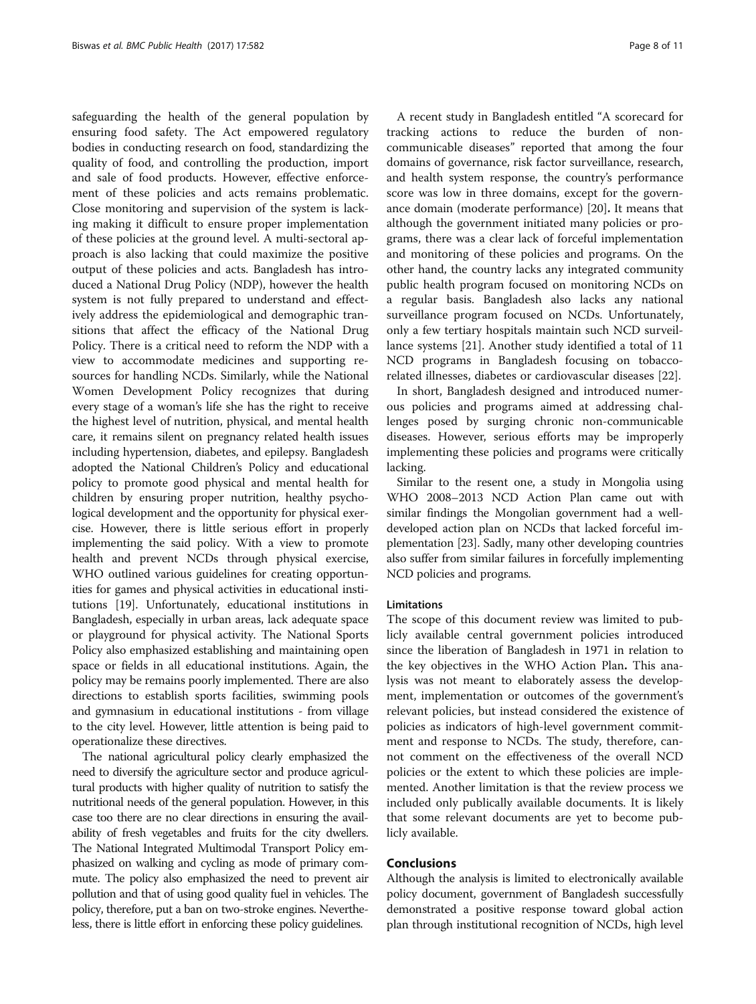safeguarding the health of the general population by ensuring food safety. The Act empowered regulatory bodies in conducting research on food, standardizing the quality of food, and controlling the production, import and sale of food products. However, effective enforcement of these policies and acts remains problematic. Close monitoring and supervision of the system is lacking making it difficult to ensure proper implementation of these policies at the ground level. A multi-sectoral approach is also lacking that could maximize the positive output of these policies and acts. Bangladesh has introduced a National Drug Policy (NDP), however the health system is not fully prepared to understand and effectively address the epidemiological and demographic transitions that affect the efficacy of the National Drug Policy. There is a critical need to reform the NDP with a view to accommodate medicines and supporting resources for handling NCDs. Similarly, while the National Women Development Policy recognizes that during every stage of a woman's life she has the right to receive the highest level of nutrition, physical, and mental health care, it remains silent on pregnancy related health issues including hypertension, diabetes, and epilepsy. Bangladesh adopted the National Children's Policy and educational policy to promote good physical and mental health for children by ensuring proper nutrition, healthy psychological development and the opportunity for physical exercise. However, there is little serious effort in properly implementing the said policy. With a view to promote health and prevent NCDs through physical exercise, WHO outlined various guidelines for creating opportunities for games and physical activities in educational institutions [\[19\]](#page-9-0). Unfortunately, educational institutions in Bangladesh, especially in urban areas, lack adequate space or playground for physical activity. The National Sports Policy also emphasized establishing and maintaining open space or fields in all educational institutions. Again, the policy may be remains poorly implemented. There are also directions to establish sports facilities, swimming pools and gymnasium in educational institutions - from village to the city level. However, little attention is being paid to operationalize these directives.

The national agricultural policy clearly emphasized the need to diversify the agriculture sector and produce agricultural products with higher quality of nutrition to satisfy the nutritional needs of the general population. However, in this case too there are no clear directions in ensuring the availability of fresh vegetables and fruits for the city dwellers. The National Integrated Multimodal Transport Policy emphasized on walking and cycling as mode of primary commute. The policy also emphasized the need to prevent air pollution and that of using good quality fuel in vehicles. The policy, therefore, put a ban on two-stroke engines. Nevertheless, there is little effort in enforcing these policy guidelines.

A recent study in Bangladesh entitled "A scorecard for tracking actions to reduce the burden of noncommunicable diseases" reported that among the four domains of governance, risk factor surveillance, research, and health system response, the country's performance score was low in three domains, except for the governance domain (moderate performance) [[20\]](#page-9-0). It means that although the government initiated many policies or programs, there was a clear lack of forceful implementation and monitoring of these policies and programs. On the other hand, the country lacks any integrated community public health program focused on monitoring NCDs on a regular basis. Bangladesh also lacks any national surveillance program focused on NCDs. Unfortunately, only a few tertiary hospitals maintain such NCD surveillance systems [[21\]](#page-9-0). Another study identified a total of 11 NCD programs in Bangladesh focusing on tobaccorelated illnesses, diabetes or cardiovascular diseases [[22](#page-9-0)].

In short, Bangladesh designed and introduced numerous policies and programs aimed at addressing challenges posed by surging chronic non-communicable diseases. However, serious efforts may be improperly implementing these policies and programs were critically lacking.

Similar to the resent one, a study in Mongolia using WHO 2008–2013 NCD Action Plan came out with similar findings the Mongolian government had a welldeveloped action plan on NCDs that lacked forceful implementation [\[23](#page-9-0)]. Sadly, many other developing countries also suffer from similar failures in forcefully implementing NCD policies and programs.

## Limitations

The scope of this document review was limited to publicly available central government policies introduced since the liberation of Bangladesh in 1971 in relation to the key objectives in the WHO Action Plan. This analysis was not meant to elaborately assess the development, implementation or outcomes of the government's relevant policies, but instead considered the existence of policies as indicators of high-level government commitment and response to NCDs. The study, therefore, cannot comment on the effectiveness of the overall NCD policies or the extent to which these policies are implemented. Another limitation is that the review process we included only publically available documents. It is likely that some relevant documents are yet to become publicly available.

## Conclusions

Although the analysis is limited to electronically available policy document, government of Bangladesh successfully demonstrated a positive response toward global action plan through institutional recognition of NCDs, high level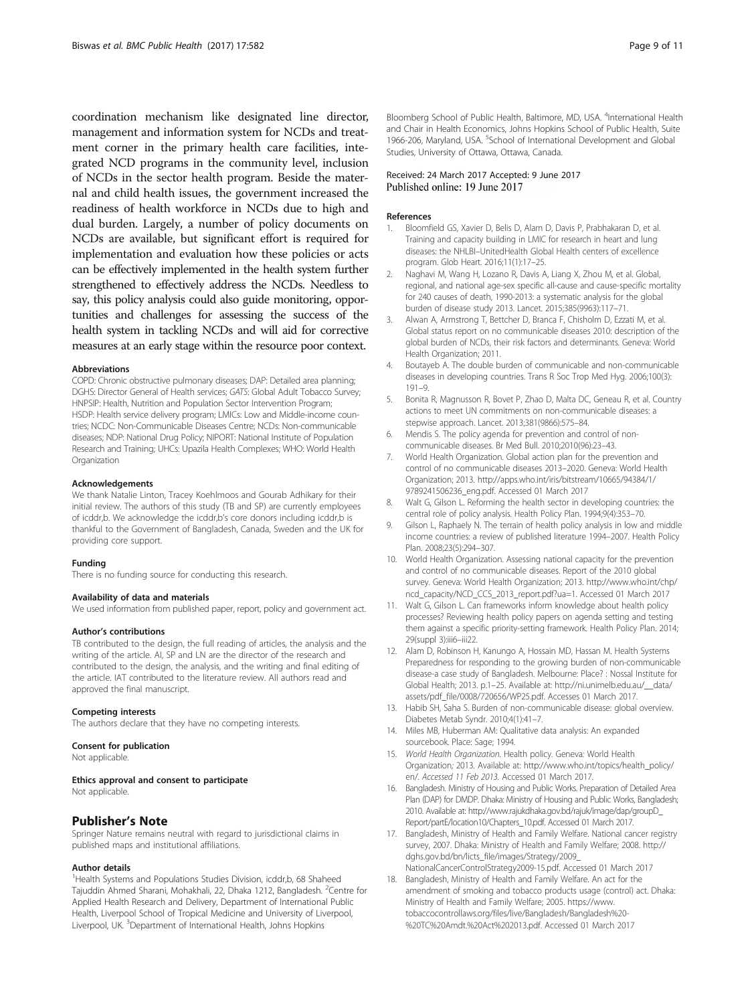<span id="page-8-0"></span>coordination mechanism like designated line director, management and information system for NCDs and treatment corner in the primary health care facilities, integrated NCD programs in the community level, inclusion of NCDs in the sector health program. Beside the maternal and child health issues, the government increased the readiness of health workforce in NCDs due to high and dual burden. Largely, a number of policy documents on NCDs are available, but significant effort is required for implementation and evaluation how these policies or acts can be effectively implemented in the health system further strengthened to effectively address the NCDs. Needless to say, this policy analysis could also guide monitoring, opportunities and challenges for assessing the success of the health system in tackling NCDs and will aid for corrective measures at an early stage within the resource poor context.

#### Abbreviations

COPD: Chronic obstructive pulmonary diseases; DAP: Detailed area planning; DGHS: Director General of Health services; GATS: Global Adult Tobacco Survey; HNPSIP: Health, Nutrition and Population Sector Intervention Program; HSDP: Health service delivery program; LMICs: Low and Middle-income countries; NCDC: Non-Communicable Diseases Centre; NCDs: Non-communicable diseases; NDP: National Drug Policy; NIPORT: National Institute of Population Research and Training; UHCs: Upazila Health Complexes; WHO: World Health **Organization** 

#### Acknowledgements

We thank Natalie Linton, Tracey Koehlmoos and Gourab Adhikary for their initial review. The authors of this study (TB and SP) are currently employees of icddr,b. We acknowledge the icddr,b's core donors including icddr,b is thankful to the Government of Bangladesh, Canada, Sweden and the UK for providing core support.

#### Funding

There is no funding source for conducting this research.

#### Availability of data and materials

We used information from published paper, report, policy and government act.

#### Author's contributions

TB contributed to the design, the full reading of articles, the analysis and the writing of the article. AI, SP and LN are the director of the research and contributed to the design, the analysis, and the writing and final editing of the article. IAT contributed to the literature review. All authors read and approved the final manuscript.

#### Competing interests

The authors declare that they have no competing interests.

#### Consent for publication

Not applicable.

#### Ethics approval and consent to participate

Not applicable.

#### Publisher's Note

Springer Nature remains neutral with regard to jurisdictional claims in published maps and institutional affiliations.

#### Author details

<sup>1</sup>Health Systems and Populations Studies Division, icddr,b, 68 Shaheed Tajuddin Ahmed Sharani, Mohakhali, 22, Dhaka 1212, Bangladesh. <sup>2</sup>Centre for Applied Health Research and Delivery, Department of International Public Health, Liverpool School of Tropical Medicine and University of Liverpool, Liverpool, UK. <sup>3</sup>Department of International Health, Johns Hopkins

Bloomberg School of Public Health, Baltimore, MD, USA. <sup>4</sup>International Health and Chair in Health Economics, Johns Hopkins School of Public Health, Suite 1966-206, Maryland, USA. <sup>5</sup>School of International Development and Global Studies, University of Ottawa, Ottawa, Canada.

#### Received: 24 March 2017 Accepted: 9 June 2017 Published online: 19 June 2017

#### References

- 1. Bloomfield GS, Xavier D, Belis D, Alam D, Davis P, Prabhakaran D, et al. Training and capacity building in LMIC for research in heart and lung diseases: the NHLBI–UnitedHealth Global Health centers of excellence program. Glob Heart. 2016;11(1):17–25.
- 2. Naghavi M, Wang H, Lozano R, Davis A, Liang X, Zhou M, et al. Global, regional, and national age-sex specific all-cause and cause-specific mortality for 240 causes of death, 1990-2013: a systematic analysis for the global burden of disease study 2013. Lancet. 2015;385(9963):117–71.
- 3. Alwan A, Armstrong T, Bettcher D, Branca F, Chisholm D, Ezzati M, et al. Global status report on no communicable diseases 2010: description of the global burden of NCDs, their risk factors and determinants. Geneva: World Health Organization; 2011.
- 4. Boutayeb A. The double burden of communicable and non-communicable diseases in developing countries. Trans R Soc Trop Med Hyg. 2006;100(3): 191–9.
- 5. Bonita R, Magnusson R, Bovet P, Zhao D, Malta DC, Geneau R, et al. Country actions to meet UN commitments on non-communicable diseases: a stepwise approach. Lancet. 2013;381(9866):575–84.
- Mendis S. The policy agenda for prevention and control of noncommunicable diseases. Br Med Bull. 2010;2010(96):23–43.
- 7. World Health Organization. Global action plan for the prevention and control of no communicable diseases 2013–2020. Geneva: World Health Organization; 2013. http://apps.who.int/iris/bitstream/10665/94384/1/ 9789241506236\_eng.pdf. Accessed 01 March 2017
- 8. Walt G, Gilson L. Reforming the health sector in developing countries: the central role of policy analysis. Health Policy Plan. 1994;9(4):353–70.
- 9. Gilson L, Raphaely N. The terrain of health policy analysis in low and middle income countries: a review of published literature 1994–2007. Health Policy Plan. 2008;23(5):294–307.
- 10. World Health Organization. Assessing national capacity for the prevention and control of no communicable diseases. Report of the 2010 global survey. Geneva: World Health Organization; 2013. http://www.who.int/chp/ ncd\_capacity/NCD\_CCS\_2013\_report.pdf?ua=1. Accessed 01 March 2017
- 11. Walt G, Gilson L. Can frameworks inform knowledge about health policy processes? Reviewing health policy papers on agenda setting and testing them against a specific priority-setting framework. Health Policy Plan. 2014; 29(suppl 3):iii6–iii22.
- 12. Alam D, Robinson H, Kanungo A, Hossain MD, Hassan M. Health Systems Preparedness for responding to the growing burden of non-communicable disease-a case study of Bangladesh. Melbourne: Place? : Nossal Institute for Global Health; 2013. p.1–25. Available at: http://ni.unimelb.edu.au/\_\_data/ assets/pdf\_file/0008/720656/WP25.pdf. Accesses 01 March 2017.
- 13. Habib SH, Saha S. Burden of non-communicable disease: global overview. Diabetes Metab Syndr. 2010;4(1):41–7.
- 14. Miles MB, Huberman AM: Qualitative data analysis: An expanded sourcebook. Place: Sage; 1994.
- 15. World Health Organization. Health policy. Geneva: World Health Organization; 2013. Available at: http://www.who.int/topics/health\_policy/ en/. Accessed 11 Feb 2013. Accessed 01 March 2017.
- 16. Bangladesh. Ministry of Housing and Public Works. Preparation of Detailed Area Plan (DAP) for DMDP. Dhaka: Ministry of Housing and Public Works, Bangladesh; 2010. Available at: http://www.rajukdhaka.gov.bd/rajuk/image/dap/groupD\_ Report/partE/location10/Chapters\_10.pdf. Accessed 01 March 2017.
- 17. Bangladesh, Ministry of Health and Family Welfare. National cancer registry survey, 2007. Dhaka: Ministry of Health and Family Welfare; 2008. http:// dghs.gov.bd/bn/licts\_file/images/Strategy/2009\_ NationalCancerControlStrategy2009-15.pdf. Accessed 01 March 2017
- 18. Bangladesh, Ministry of Health and Family Welfare. An act for the amendment of smoking and tobacco products usage (control) act. Dhaka: Ministry of Health and Family Welfare; 2005. https://www. tobaccocontrollaws.org/files/live/Bangladesh/Bangladesh%20- %20TC%20Amdt.%20Act%202013.pdf. Accessed 01 March 2017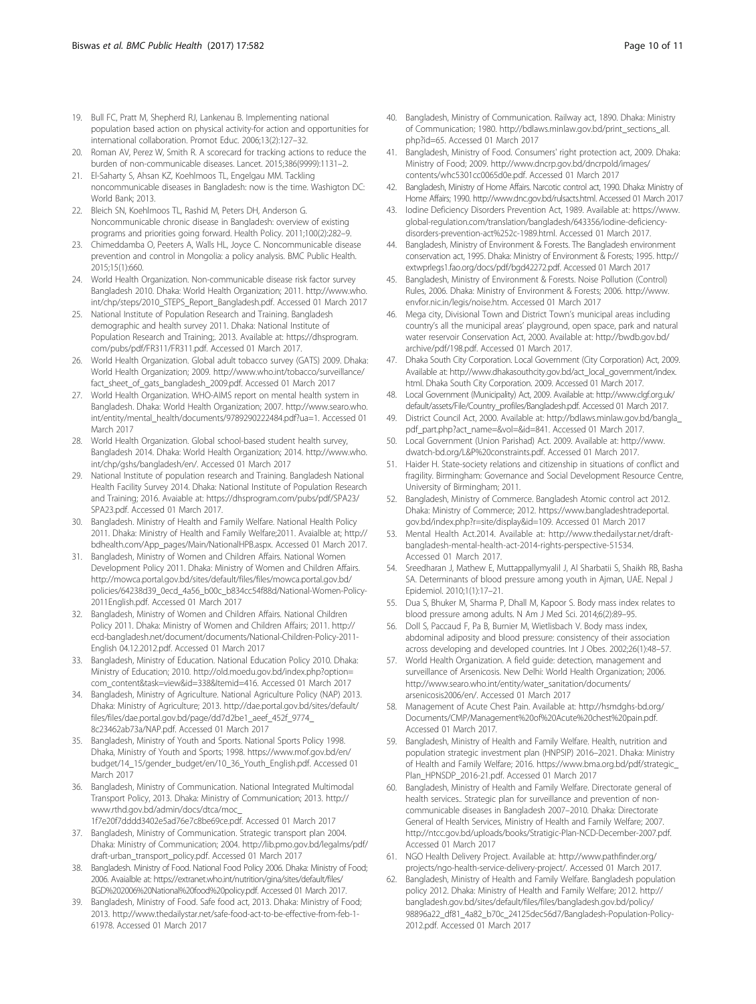- <span id="page-9-0"></span>19. Bull FC, Pratt M, Shepherd RJ, Lankenau B. Implementing national population based action on physical activity-for action and opportunities for international collaboration. Promot Educ. 2006;13(2):127–32.
- 20. Roman AV, Perez W, Smith R. A scorecard for tracking actions to reduce the burden of non-communicable diseases. Lancet. 2015;386(9999):1131–2.
- 21. El-Saharty S, Ahsan KZ, Koehlmoos TL, Engelgau MM. Tackling noncommunicable diseases in Bangladesh: now is the time. Washigton DC: World Bank; 2013.
- 22. Bleich SN, Koehlmoos TL, Rashid M, Peters DH, Anderson G. Noncommunicable chronic disease in Bangladesh: overview of existing programs and priorities going forward. Health Policy. 2011;100(2):282–9.
- 23. Chimeddamba O, Peeters A, Walls HL, Joyce C. Noncommunicable disease prevention and control in Mongolia: a policy analysis. BMC Public Health. 2015;15(1):660.
- 24. World Health Organization. Non-communicable disease risk factor survey Bangladesh 2010. Dhaka: World Health Organization; 2011. http://www.who. int/chp/steps/2010\_STEPS\_Report\_Bangladesh.pdf. Accessed 01 March 2017
- 25. National Institute of Population Research and Training. Bangladesh demographic and health survey 2011. Dhaka: National Institute of Population Research and Training;. 2013. Available at: https://dhsprogram. com/pubs/pdf/FR311/FR311.pdf. Accessed 01 March 2017.
- 26. World Health Organization. Global adult tobacco survey (GATS) 2009. Dhaka: World Health Organization; 2009. http://www.who.int/tobacco/surveillance/ fact\_sheet\_of\_gats\_bangladesh\_2009.pdf. Accessed 01 March 2017
- 27. World Health Organization. WHO-AIMS report on mental health system in Bangladesh. Dhaka: World Health Organization; 2007. http://www.searo.who. int/entity/mental\_health/documents/9789290222484.pdf?ua=1. Accessed 01 March 2017
- 28. World Health Organization. Global school-based student health survey, Bangladesh 2014. Dhaka: World Health Organization; 2014. http://www.who. int/chp/gshs/bangladesh/en/. Accessed 01 March 2017
- 29. National Institute of population research and Training. Bangladesh National Health Facility Survey 2014. Dhaka: National Institute of Population Research and Training; 2016. Avaiable at: https://dhsprogram.com/pubs/pdf/SPA23/ SPA23.pdf. Accessed 01 March 2017.
- 30. Bangladesh. Ministry of Health and Family Welfare. National Health Policy 2011. Dhaka: Ministry of Health and Family Welfare;2011. Avaialble at; http:// bdhealth.com/App\_pages/Main/NationalHPB.aspx. Accessed 01 March 2017.
- 31. Bangladesh, Ministry of Women and Children Affairs. National Women Development Policy 2011. Dhaka: Ministry of Women and Children Affairs. http://mowca.portal.gov.bd/sites/default/files/files/mowca.portal.gov.bd/ policies/64238d39\_0ecd\_4a56\_b00c\_b834cc54f88d/National-Women-Policy-2011English.pdf. Accessed 01 March 2017
- 32. Bangladesh, Ministry of Women and Children Affairs. National Children Policy 2011. Dhaka: Ministry of Women and Children Affairs; 2011. http:// ecd-bangladesh.net/document/documents/National-Children-Policy-2011- English 04.12.2012.pdf. Accessed 01 March 2017
- 33. Bangladesh, Ministry of Education. National Education Policy 2010. Dhaka: Ministry of Education; 2010. http://old.moedu.gov.bd/index.php?option= com\_content&task=view&id=338&Itemid=416. Accessed 01 March 2017
- 34. Bangladesh, Ministry of Agriculture. National Agriculture Policy (NAP) 2013. Dhaka: Ministry of Agriculture; 2013. http://dae.portal.gov.bd/sites/default/ files/files/dae.portal.gov.bd/page/dd7d2be1\_aeef\_452f\_9774\_ 8c23462ab73a/NAP.pdf. Accessed 01 March 2017
- 35. Bangladesh, Ministry of Youth and Sports. National Sports Policy 1998. Dhaka, Ministry of Youth and Sports; 1998. https://www.mof.gov.bd/en/ budget/14\_15/gender\_budget/en/10\_36\_Youth\_English.pdf. Accessed 01 March 2017
- 36. Bangladesh, Ministry of Communication. National Integrated Multimodal Transport Policy, 2013. Dhaka: Ministry of Communication; 2013. http:// www.rthd.gov.bd/admin/docs/dtca/moc\_ 1f7e20f7dddd3402e5ad76e7c8be69ce.pdf. Accessed 01 March 2017
- 37. Bangladesh, Ministry of Communication. Strategic transport plan 2004. Dhaka: Ministry of Communication; 2004. http://lib.pmo.gov.bd/legalms/pdf/ draft-urban\_transport\_policy.pdf. Accessed 01 March 2017
- 38. Bangladesh. Ministry of Food. National Food Policy 2006. Dhaka: Ministry of Food; 2006. Avaialble at: https://extranet.who.int/nutrition/gina/sites/default/files/ BGD%202006%20National%20food%20policy.pdf. Accessed 01 March 2017.
- 39. Bangladesh, Ministry of Food. Safe food act, 2013. Dhaka: Ministry of Food; 2013. http://www.thedailystar.net/safe-food-act-to-be-effective-from-feb-1- 61978. Accessed 01 March 2017
- 40. Bangladesh, Ministry of Communication. Railway act, 1890. Dhaka: Ministry of Communication; 1980. http://bdlaws.minlaw.gov.bd/print\_sections\_all. php?id=65. Accessed 01 March 2017
- 41. Bangladesh, Ministry of Food. Consumers' right protection act, 2009. Dhaka: Ministry of Food; 2009. http://www.dncrp.gov.bd/dncrpold/images/ contents/whc5301cc0065d0e.pdf. Accessed 01 March 2017
- 42. Bangladesh, Ministry of Home Affairs. Narcotic control act, 1990. Dhaka: Ministry of Home Affairs; 1990. http://www.dnc.gov.bd/rulsacts.html. Accessed 01 March 2017
- 43. Iodine Deficiency Disorders Prevention Act, 1989. Available at: https://www. global-regulation.com/translation/bangladesh/643356/iodine-deficiencydisorders-prevention-act%252c-1989.html. Accessed 01 March 2017.
- 44. Bangladesh, Ministry of Environment & Forests. The Bangladesh environment conservation act, 1995. Dhaka: Ministry of Environment & Forests; 1995. http:// extwprlegs1.fao.org/docs/pdf/bgd42272.pdf. Accessed 01 March 2017
- 45. Bangladesh, Ministry of Environment & Forests. Noise Pollution (Control) Rules, 2006. Dhaka: Ministry of Environment & Forests; 2006. http://www. envfor.nic.in/legis/noise.htm. Accessed 01 March 2017
- 46. Mega city, Divisional Town and District Town's municipal areas including country's all the municipal areas' playground, open space, park and natural water reservoir Conservation Act, 2000. Available at: http://bwdb.gov.bd/ archive/pdf/198.pdf. Accessed 01 March 2017.
- 47. Dhaka South City Corporation. Local Government (City Corporation) Act, 2009. Available at: http://www.dhakasouthcity.gov.bd/act\_local\_government/index. html. Dhaka South City Corporation. 2009. Accessed 01 March 2017.
- 48. Local Government (Municipality) Act, 2009. Available at: http://www.clgf.org.uk/ default/assets/File/Country\_profiles/Bangladesh.pdf. Accessed 01 March 2017.
- 49. District Council Act, 2000. Available at: http://bdlaws.minlaw.gov.bd/bangla\_ pdf\_part.php?act\_name=&vol=&id=841. Accessed 01 March 2017.
- 50. Local Government (Union Parishad) Act. 2009. Available at: http://www. dwatch-bd.org/L&P%20constraints.pdf. Accessed 01 March 2017.
- 51. Haider H. State-society relations and citizenship in situations of conflict and fragility. Birmingham: Governance and Social Development Resource Centre, University of Birmingham; 2011.
- 52. Bangladesh, Ministry of Commerce. Bangladesh Atomic control act 2012. Dhaka: Ministry of Commerce; 2012. https://www.bangladeshtradeportal. gov.bd/index.php?r=site/display&id=109. Accessed 01 March 2017
- 53. Mental Health Act.2014. Available at: http://www.thedailystar.net/draftbangladesh-mental-health-act-2014-rights-perspective-51534. Accessed 01 March 2017.
- 54. Sreedharan J, Mathew E, Muttappallymyalil J, Al Sharbatii S, Shaikh RB, Basha SA. Determinants of blood pressure among youth in Ajman, UAE. Nepal J Epidemiol. 2010;1(1):17–21.
- 55. Dua S, Bhuker M, Sharma P, Dhall M, Kapoor S. Body mass index relates to blood pressure among adults. N Am J Med Sci. 2014;6(2):89–95.
- 56. Doll S, Paccaud F, Pa B, Burnier M, Wietlisbach V. Body mass index, abdominal adiposity and blood pressure: consistency of their association across developing and developed countries. Int J Obes. 2002;26(1):48–57.
- 57. World Health Organization. A field guide: detection, management and surveillance of Arsenicosis. New Delhi: World Health Organization; 2006. http://www.searo.who.int/entity/water\_sanitation/documents/ arsenicosis2006/en/. Accessed 01 March 2017
- 58. Management of Acute Chest Pain. Available at: http://hsmdghs-bd.org/ Documents/CMP/Management%20of%20Acute%20chest%20pain.pdf. Accessed 01 March 2017.
- 59. Bangladesh, Ministry of Health and Family Welfare. Health, nutrition and population strategic investment plan (HNPSIP) 2016–2021. Dhaka: Ministry of Health and Family Welfare; 2016. https://www.bma.org.bd/pdf/strategic\_ Plan\_HPNSDP\_2016-21.pdf. Accessed 01 March 2017
- 60. Bangladesh, Ministry of Health and Family Welfare. Directorate general of health services.. Strategic plan for surveillance and prevention of noncommunicable diseases in Bangladesh 2007–2010. Dhaka: Directorate General of Health Services, Ministry of Health and Family Welfare; 2007. http://ntcc.gov.bd/uploads/books/Stratigic-Plan-NCD-December-2007.pdf. Accessed 01 March 2017
- 61. NGO Health Delivery Project. Available at: http://www.pathfinder.org/ projects/ngo-health-service-delivery-project/. Accessed 01 March 2017.
- 62. Bangladesh, Ministry of Health and Family Welfare. Bangladesh population policy 2012. Dhaka: Ministry of Health and Family Welfare; 2012. http:// bangladesh.gov.bd/sites/default/files/files/bangladesh.gov.bd/policy/ 98896a22\_df81\_4a82\_b70c\_24125dec56d7/Bangladesh-Population-Policy-2012.pdf. Accessed 01 March 2017